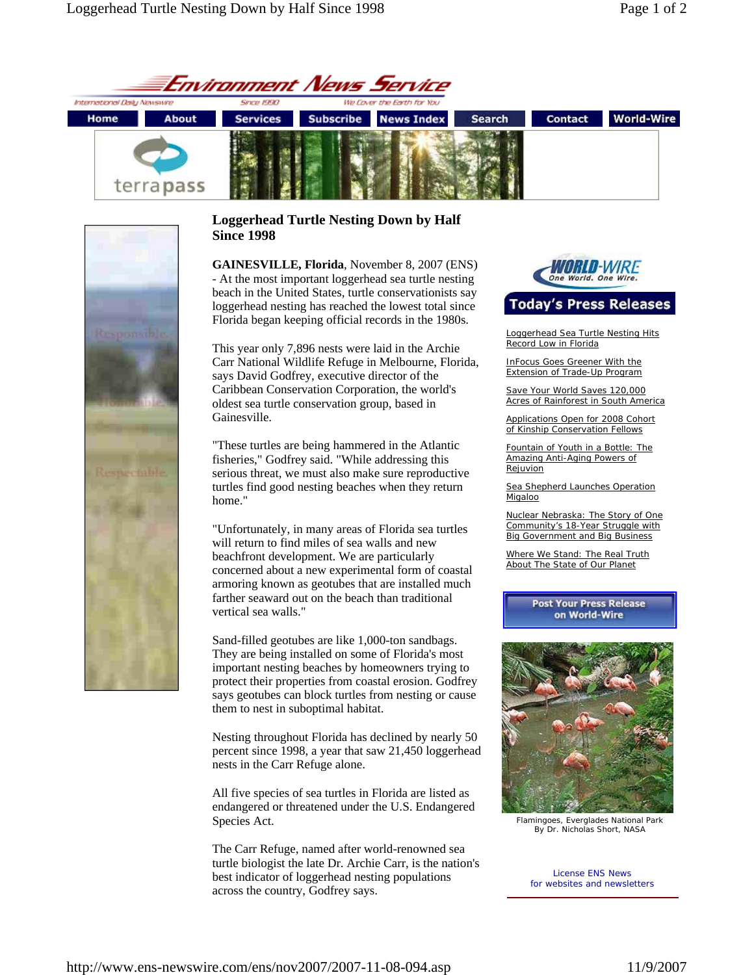



## **Loggerhead Turtle Nesting Down by Half Since 1998**

**GAINESVILLE, Florida**, November 8, 2007 (ENS) - At the most important loggerhead sea turtle nesting beach in the United States, turtle conservationists say loggerhead nesting has reached the lowest total since Florida began keeping official records in the 1980s.

This year only 7,896 nests were laid in the Archie Carr National Wildlife Refuge in Melbourne, Florida, says David Godfrey, executive director of the Caribbean Conservation Corporation, the world's oldest sea turtle conservation group, based in Gainesville.

"These turtles are being hammered in the Atlantic fisheries," Godfrey said. "While addressing this serious threat, we must also make sure reproductive turtles find good nesting beaches when they return home."

"Unfortunately, in many areas of Florida sea turtles will return to find miles of sea walls and new beachfront development. We are particularly concerned about a new experimental form of coastal armoring known as geotubes that are installed much farther seaward out on the beach than traditional vertical sea walls."

Sand-filled geotubes are like 1,000-ton sandbags. They are being installed on some of Florida's most important nesting beaches by homeowners trying to protect their properties from coastal erosion. Godfrey says geotubes can block turtles from nesting or cause them to nest in suboptimal habitat.

Nesting throughout Florida has declined by nearly 50 percent since 1998, a year that saw 21,450 loggerhead nests in the Carr Refuge alone.

All five species of sea turtles in Florida are listed as endangered or threatened under the U.S. Endangered Species Act.

The Carr Refuge, named after world-renowned sea turtle biologist the late Dr. Archie Carr, is the nation's best indicator of loggerhead nesting populations across the country, Godfrey says.



# **Today's Press Releases**

Loggerhead Sea Turtle Nesting Hits Record Low in Florida

InFocus Goes Greener With the Extension of Trade-Up Program

Save Your World Saves 120,000 Acres of Rainforest in South America

Applications Open for 2008 Cohort of Kinship Conservation Fellows

Fountain of Youth in a Bottle: The Amazing Anti-Aging Powers of **Rejuvion** 

Sea Shepherd Launches Operation Migaloo

Nuclear Nebraska: The Story of One Community's 18-Year Struggle with **Big Government and Big Business** 

Where We Stand: The Real Truth About The State of Our Planet

> **Post Your Press Release** on World-Wire



Flamingoes, Everglades National Park By Dr. Nicholas Short, NASA

License ENS News for websites and newsletters